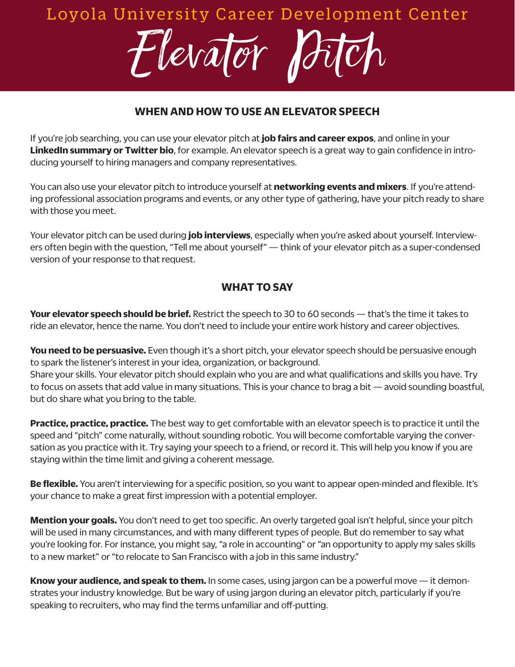# Loyola University Career Development Center

Flevator

## **WHEN AND HOW TO USE AN ELEVATOR SPEECH**

If you're job searching, you can use your elevator pitch at **job fairs and career expos**, and online in your **LinkedIn summary or Twitter bio**, for example. An elevator speech is a great way to gain confidence in introducing yourself to hiring managers and company representatives.

You can also use your elevator pitch to introduce yourself at **networking events and mixers**. If you're attending professional association programs and events, or any other type of gathering, have your pitch ready to share with those you meet.

Your elevator pitch can be used during **job interviews**, especially when you're asked about yourself. Interviewers often begin with the question, "Tell me about yourself" — think of your elevator pitch as a super-condensed version of your response to that request.

#### **WHAT TO SAY**

**Your elevator speech should be brief.** Restrict the speech to 30 to 60 seconds — that's the time it takes to ride an elevator, hence the name. You don't need to include your entire work history and career objectives.

**You need to be persuasive.** Even though it's a short pitch, your elevator speech should be persuasive enough to spark the listener's interest in your idea, organization, or background. Share your skills. Your elevator pitch should explain who you are and what qualifications and skills you have. Try to focus on assets that add value in many situations. This is your chance to brag a bit — avoid sounding boastful, but do share what you bring to the table.

**Practice, practice, practice.** The best way to get comfortable with an elevator speech is to practice it until the speed and "pitch" come naturally, without sounding robotic. You will become comfortable varying the conversation as you practice with it. Try saying your speech to a friend, or record it. This will help you know if you are staying within the time limit and giving a coherent message.

**Be flexible.** You aren't interviewing for a specific position, so you want to appear open-minded and flexible. It's your chance to make a great first impression with a potential employer.

**Mention your goals.** You don't need to get too specific. An overly targeted goal isn't helpful, since your pitch will be used in many circumstances, and with many different types of people. But do remember to say what you're looking for. For instance, you might say, "a role in accounting" or "an opportunity to apply my sales skills to a new market" or "to relocate to San Francisco with a job in this same industry."

**Know your audience, and speak to them.** In some cases, using jargon can be a powerful move — it demonstrates your industry knowledge. But be wary of using jargon during an elevator pitch, particularly if you're speaking to recruiters, who may find the terms unfamiliar and off-putting.